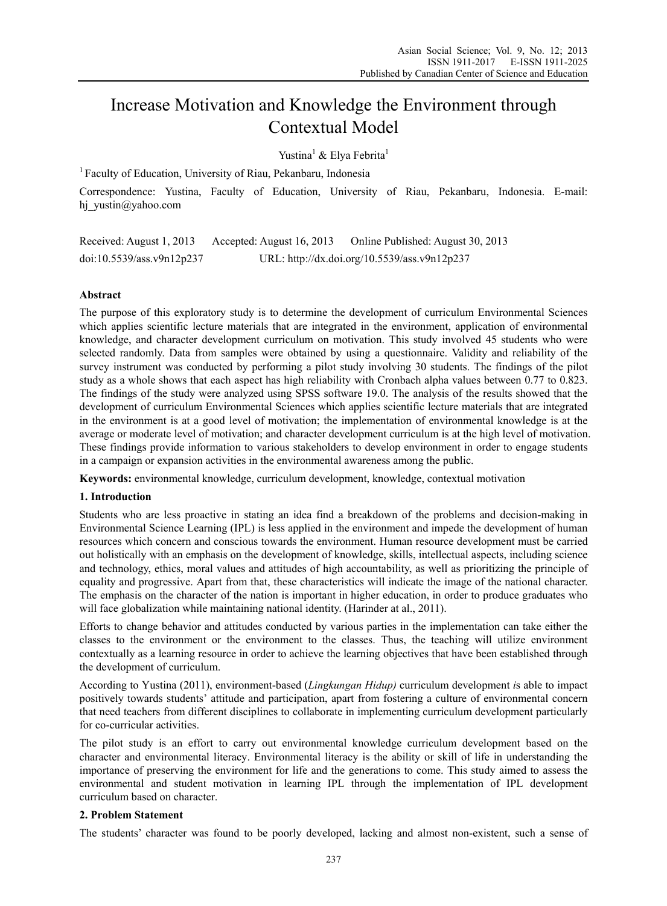# Increase Motivation and Knowledge the Environment through Contextual Model

Yustina<sup>1</sup> & Elya Febrita<sup>1</sup>

<sup>1</sup> Faculty of Education, University of Riau, Pekanbaru, Indonesia

Correspondence: Yustina, Faculty of Education, University of Riau, Pekanbaru, Indonesia. E-mail: hi vustin@yahoo.com

Received: August 1, 2013 Accepted: August 16, 2013 Online Published: August 30, 2013 doi:10.5539/ass.v9n12p237 URL: http://dx.doi.org/10.5539/ass.v9n12p237

# **Abstract**

The purpose of this exploratory study is to determine the development of curriculum Environmental Sciences which applies scientific lecture materials that are integrated in the environment, application of environmental knowledge, and character development curriculum on motivation. This study involved 45 students who were selected randomly. Data from samples were obtained by using a questionnaire. Validity and reliability of the survey instrument was conducted by performing a pilot study involving 30 students. The findings of the pilot study as a whole shows that each aspect has high reliability with Cronbach alpha values between 0.77 to 0.823. The findings of the study were analyzed using SPSS software 19.0. The analysis of the results showed that the development of curriculum Environmental Sciences which applies scientific lecture materials that are integrated in the environment is at a good level of motivation; the implementation of environmental knowledge is at the average or moderate level of motivation; and character development curriculum is at the high level of motivation. These findings provide information to various stakeholders to develop environment in order to engage students in a campaign or expansion activities in the environmental awareness among the public.

**Keywords:** environmental knowledge, curriculum development, knowledge, contextual motivation

### **1. Introduction**

Students who are less proactive in stating an idea find a breakdown of the problems and decision-making in Environmental Science Learning (IPL) is less applied in the environment and impede the development of human resources which concern and conscious towards the environment. Human resource development must be carried out holistically with an emphasis on the development of knowledge, skills, intellectual aspects, including science and technology, ethics, moral values and attitudes of high accountability, as well as prioritizing the principle of equality and progressive. Apart from that, these characteristics will indicate the image of the national character. The emphasis on the character of the nation is important in higher education, in order to produce graduates who will face globalization while maintaining national identity. (Harinder at al., 2011).

Efforts to change behavior and attitudes conducted by various parties in the implementation can take either the classes to the environment or the environment to the classes. Thus, the teaching will utilize environment contextually as a learning resource in order to achieve the learning objectives that have been established through the development of curriculum.

According to Yustina (2011), environment-based (*Lingkungan Hidup)* curriculum development *i*s able to impact positively towards students' attitude and participation, apart from fostering a culture of environmental concern that need teachers from different disciplines to collaborate in implementing curriculum development particularly for co-curricular activities.

The pilot study is an effort to carry out environmental knowledge curriculum development based on the character and environmental literacy. Environmental literacy is the ability or skill of life in understanding the importance of preserving the environment for life and the generations to come. This study aimed to assess the environmental and student motivation in learning IPL through the implementation of IPL development curriculum based on character.

### **2. Problem Statement**

The students' character was found to be poorly developed, lacking and almost non-existent, such a sense of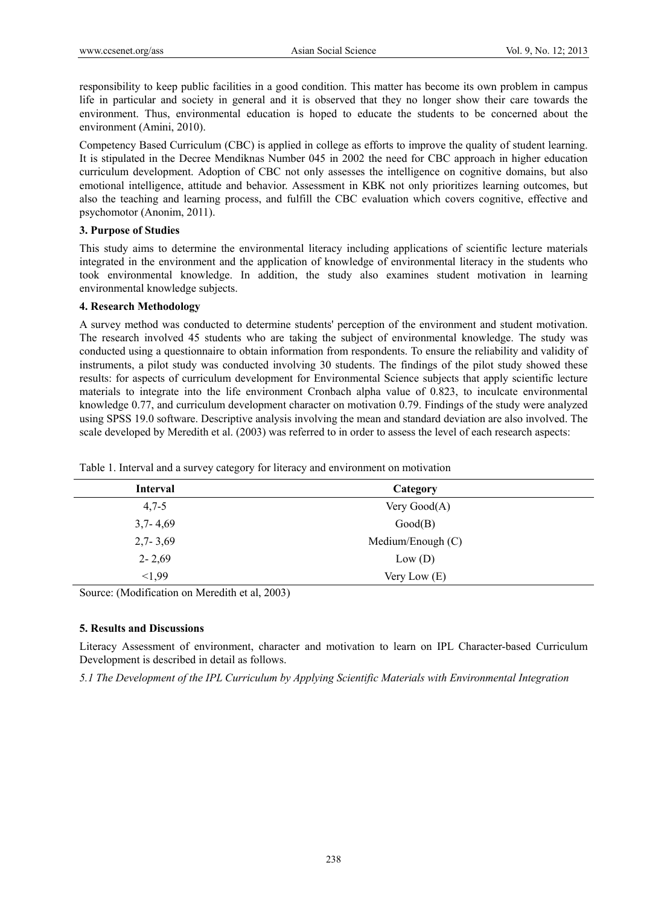responsibility to keep public facilities in a good condition. This matter has become its own problem in campus life in particular and society in general and it is observed that they no longer show their care towards the environment. Thus, environmental education is hoped to educate the students to be concerned about the environment (Amini, 2010).

Competency Based Curriculum (CBC) is applied in college as efforts to improve the quality of student learning. It is stipulated in the Decree Mendiknas Number 045 in 2002 the need for CBC approach in higher education curriculum development. Adoption of CBC not only assesses the intelligence on cognitive domains, but also emotional intelligence, attitude and behavior. Assessment in KBK not only prioritizes learning outcomes, but also the teaching and learning process, and fulfill the CBC evaluation which covers cognitive, effective and psychomotor (Anonim, 2011).

## **3. Purpose of Studies**

This study aims to determine the environmental literacy including applications of scientific lecture materials integrated in the environment and the application of knowledge of environmental literacy in the students who took environmental knowledge. In addition, the study also examines student motivation in learning environmental knowledge subjects.

### **4. Research Methodology**

A survey method was conducted to determine students' perception of the environment and student motivation. The research involved 45 students who are taking the subject of environmental knowledge. The study was conducted using a questionnaire to obtain information from respondents. To ensure the reliability and validity of instruments, a pilot study was conducted involving 30 students. The findings of the pilot study showed these results: for aspects of curriculum development for Environmental Science subjects that apply scientific lecture materials to integrate into the life environment Cronbach alpha value of 0.823, to inculcate environmental knowledge 0.77, and curriculum development character on motivation 0.79. Findings of the study were analyzed using SPSS 19.0 software. Descriptive analysis involving the mean and standard deviation are also involved. The scale developed by Meredith et al. (2003) was referred to in order to assess the level of each research aspects:

| <b>Interval</b> | Category          |  |
|-----------------|-------------------|--|
| $4,7-5$         | Very Good(A)      |  |
| $3,7 - 4,69$    | Good(B)           |  |
| $2,7 - 3,69$    | Medium/Enough (C) |  |
| $2 - 2,69$      | Low (D)           |  |
| < 1.99          | Very Low $(E)$    |  |

Table 1. Interval and a survey category for literacy and environment on motivation

Source: (Modification on Meredith et al, 2003)

# **5. Results and Discussions**

Literacy Assessment of environment, character and motivation to learn on IPL Character-based Curriculum Development is described in detail as follows.

*5.1 The Development of the IPL Curriculum by Applying Scientific Materials with Environmental Integration*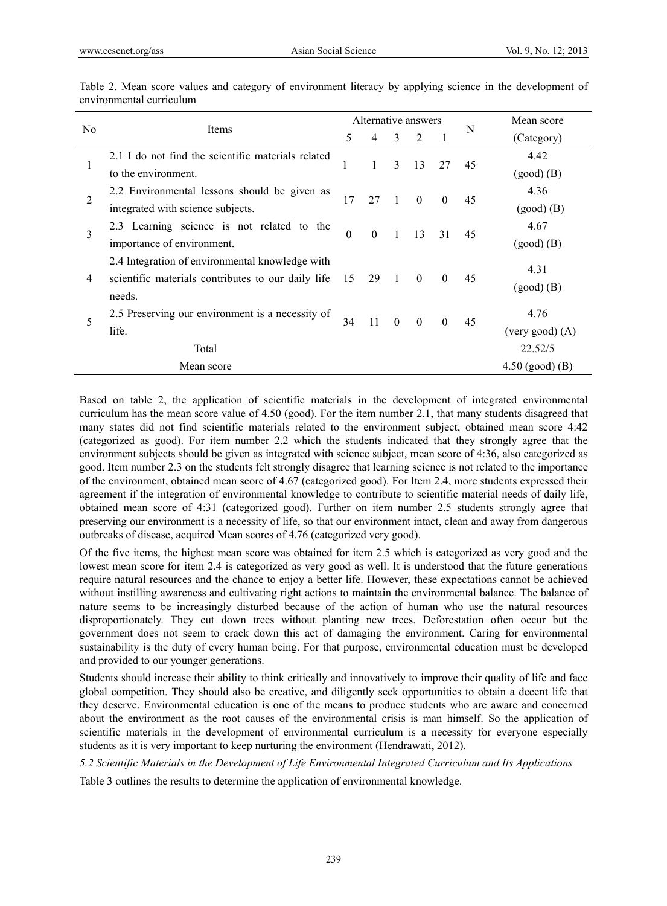|     |                                                    |                                       | Alternative answers |              |          |          |                | Mean score        |
|-----|----------------------------------------------------|---------------------------------------|---------------------|--------------|----------|----------|----------------|-------------------|
| No. | Items                                              |                                       | 4                   | 3            | 2        |          | N              | (Category)        |
|     | 2.1 I do not find the scientific materials related |                                       |                     |              | 13       | 27       |                | 4.42              |
|     | to the environment.                                |                                       | 3                   |              |          |          | 45             | $(good)$ $(B)$    |
| 2   | 2.2 Environmental lessons should be given as       | 17                                    | 27                  | $\mathbf{1}$ | $\Omega$ |          |                | 4.36              |
|     | integrated with science subjects.                  |                                       |                     |              |          | $\theta$ | 45             | $(good)$ $(B)$    |
| 3   | 2.3 Learning science is not related to the         |                                       |                     |              |          |          |                | 4.67              |
|     | importance of environment.                         | $\theta$<br>$\theta$<br>1<br>13<br>31 |                     |              |          | 45       | $(good)$ $(B)$ |                   |
|     | 2.4 Integration of environmental knowledge with    |                                       | 29                  | $\mathbf{1}$ |          | $\theta$ | 45             |                   |
| 4   | scientific materials contributes to our daily life | 15                                    |                     |              | $\theta$ |          |                | 4.31              |
|     | needs.                                             |                                       |                     |              |          |          |                | $(good)$ $(B)$    |
| 5   | 2.5 Preserving our environment is a necessity of   | 34                                    | -11                 | $\theta$     | $\theta$ | $\theta$ | 45             | 4.76              |
|     | life.                                              |                                       |                     |              |          |          |                | (very good) (A)   |
|     | Total                                              |                                       |                     |              |          |          |                | 22.52/5           |
|     | Mean score                                         |                                       |                     |              |          |          |                | $4.50$ (good) (B) |

Table 2. Mean score values and category of environment literacy by applying science in the development of environmental curriculum

Based on table 2, the application of scientific materials in the development of integrated environmental curriculum has the mean score value of 4.50 (good). For the item number 2.1, that many students disagreed that many states did not find scientific materials related to the environment subject, obtained mean score 4:42 (categorized as good). For item number 2.2 which the students indicated that they strongly agree that the environment subjects should be given as integrated with science subject, mean score of 4:36, also categorized as good. Item number 2.3 on the students felt strongly disagree that learning science is not related to the importance of the environment, obtained mean score of 4.67 (categorized good). For Item 2.4, more students expressed their agreement if the integration of environmental knowledge to contribute to scientific material needs of daily life, obtained mean score of 4:31 (categorized good). Further on item number 2.5 students strongly agree that preserving our environment is a necessity of life, so that our environment intact, clean and away from dangerous outbreaks of disease, acquired Mean scores of 4.76 (categorized very good).

Of the five items, the highest mean score was obtained for item 2.5 which is categorized as very good and the lowest mean score for item 2.4 is categorized as very good as well. It is understood that the future generations require natural resources and the chance to enjoy a better life. However, these expectations cannot be achieved without instilling awareness and cultivating right actions to maintain the environmental balance. The balance of nature seems to be increasingly disturbed because of the action of human who use the natural resources disproportionately. They cut down trees without planting new trees. Deforestation often occur but the government does not seem to crack down this act of damaging the environment. Caring for environmental sustainability is the duty of every human being. For that purpose, environmental education must be developed and provided to our younger generations.

Students should increase their ability to think critically and innovatively to improve their quality of life and face global competition. They should also be creative, and diligently seek opportunities to obtain a decent life that they deserve. Environmental education is one of the means to produce students who are aware and concerned about the environment as the root causes of the environmental crisis is man himself. So the application of scientific materials in the development of environmental curriculum is a necessity for everyone especially students as it is very important to keep nurturing the environment (Hendrawati, 2012).

*5.2 Scientific Materials in the Development of Life Environmental Integrated Curriculum and Its Applications* 

Table 3 outlines the results to determine the application of environmental knowledge.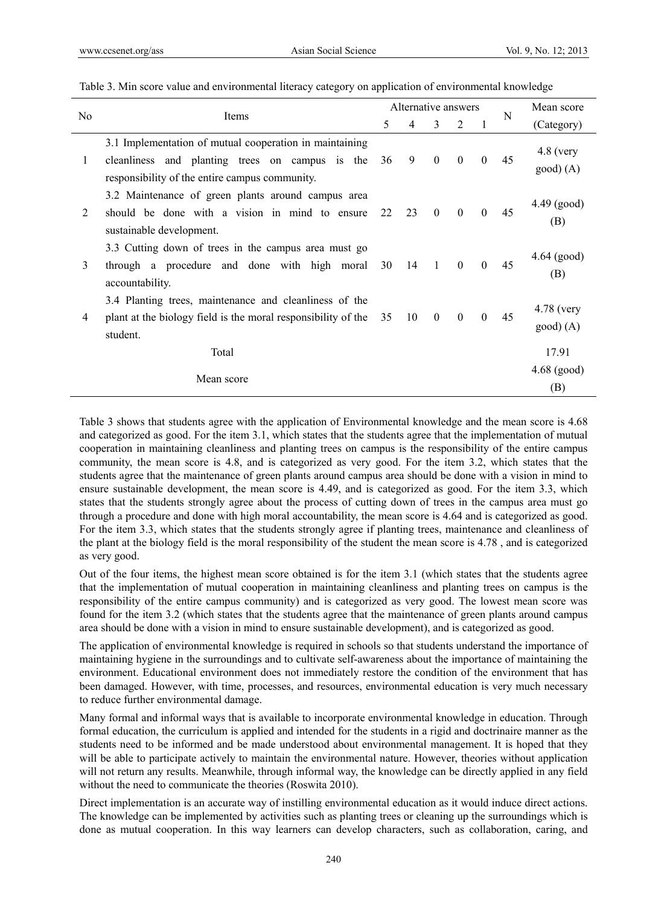|                         |                                                                                                                                                              |    | Alternative answers |                  |                | N        | Mean score |                                  |
|-------------------------|--------------------------------------------------------------------------------------------------------------------------------------------------------------|----|---------------------|------------------|----------------|----------|------------|----------------------------------|
| N <sub>0</sub><br>Items |                                                                                                                                                              | 5  | 4                   | 3                | $\overline{2}$ |          |            | (Category)                       |
| 1                       | 3.1 Implementation of mutual cooperation in maintaining<br>cleanliness and planting trees on campus is the<br>responsibility of the entire campus community. | 36 | 9                   | $\boldsymbol{0}$ | $\theta$       | $\theta$ | 45         | $4.8$ (very<br>$\text{good}(A)$  |
| 2                       | 3.2 Maintenance of green plants around campus area<br>should be done with a vision in mind to ensure<br>sustainable development.                             | 22 | 23                  | $\theta$         | $\Omega$       | $\theta$ | 45         | $4.49$ (good)<br>(B)             |
| 3                       | 3.3 Cutting down of trees in the campus area must go<br>through a procedure and done with high moral<br>accountability.                                      | 30 | 14                  | $\overline{1}$   | $\theta$       | $\theta$ | 45         | $4.64$ (good)<br>(B)             |
| 4                       | 3.4 Planting trees, maintenance and cleanliness of the<br>plant at the biology field is the moral responsibility of the<br>student.                          | 35 | 10                  | $\theta$         | $\Omega$       | $\theta$ | 45         | $4.78$ (very<br>$\text{good}(A)$ |
|                         | Total                                                                                                                                                        |    |                     |                  |                |          |            | 17.91                            |
|                         | Mean score                                                                                                                                                   |    |                     |                  |                |          |            | $4.68$ (good)<br>(B)             |

Table 3. Min score value and environmental literacy category on application of environmental knowledge

Table 3 shows that students agree with the application of Environmental knowledge and the mean score is 4.68 and categorized as good. For the item 3.1, which states that the students agree that the implementation of mutual cooperation in maintaining cleanliness and planting trees on campus is the responsibility of the entire campus community, the mean score is 4.8, and is categorized as very good. For the item 3.2, which states that the students agree that the maintenance of green plants around campus area should be done with a vision in mind to ensure sustainable development, the mean score is 4.49, and is categorized as good. For the item 3.3, which states that the students strongly agree about the process of cutting down of trees in the campus area must go through a procedure and done with high moral accountability, the mean score is 4.64 and is categorized as good. For the item 3.3, which states that the students strongly agree if planting trees, maintenance and cleanliness of the plant at the biology field is the moral responsibility of the student the mean score is 4.78 , and is categorized as very good.

Out of the four items, the highest mean score obtained is for the item 3.1 (which states that the students agree that the implementation of mutual cooperation in maintaining cleanliness and planting trees on campus is the responsibility of the entire campus community) and is categorized as very good. The lowest mean score was found for the item 3.2 (which states that the students agree that the maintenance of green plants around campus area should be done with a vision in mind to ensure sustainable development), and is categorized as good.

The application of environmental knowledge is required in schools so that students understand the importance of maintaining hygiene in the surroundings and to cultivate self-awareness about the importance of maintaining the environment. Educational environment does not immediately restore the condition of the environment that has been damaged. However, with time, processes, and resources, environmental education is very much necessary to reduce further environmental damage.

Many formal and informal ways that is available to incorporate environmental knowledge in education. Through formal education, the curriculum is applied and intended for the students in a rigid and doctrinaire manner as the students need to be informed and be made understood about environmental management. It is hoped that they will be able to participate actively to maintain the environmental nature. However, theories without application will not return any results. Meanwhile, through informal way, the knowledge can be directly applied in any field without the need to communicate the theories (Roswita 2010).

Direct implementation is an accurate way of instilling environmental education as it would induce direct actions. The knowledge can be implemented by activities such as planting trees or cleaning up the surroundings which is done as mutual cooperation. In this way learners can develop characters, such as collaboration, caring, and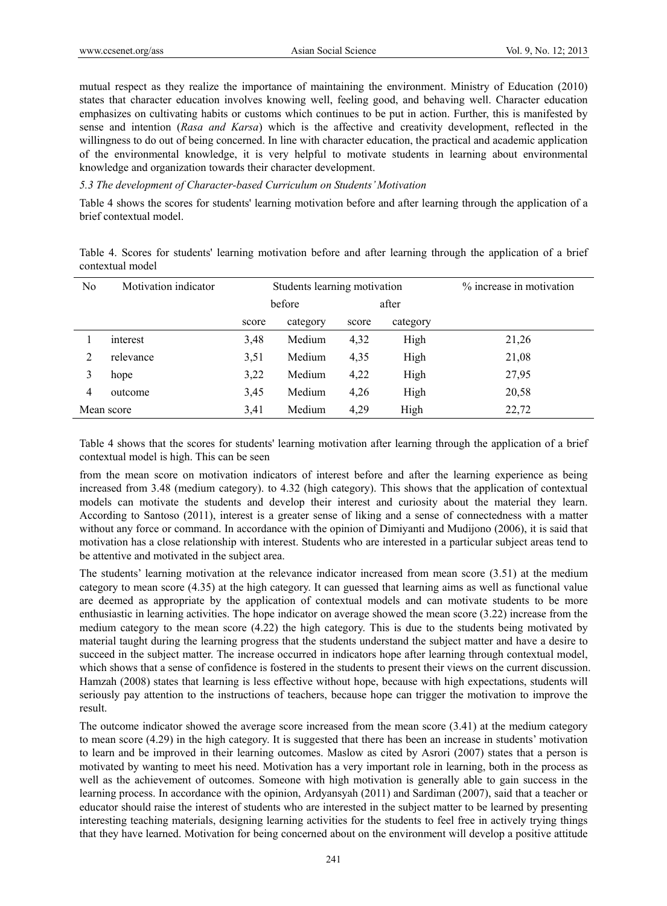mutual respect as they realize the importance of maintaining the environment. Ministry of Education (2010) states that character education involves knowing well, feeling good, and behaving well. Character education emphasizes on cultivating habits or customs which continues to be put in action. Further, this is manifested by sense and intention (*Rasa and Karsa*) which is the affective and creativity development, reflected in the willingness to do out of being concerned. In line with character education, the practical and academic application of the environmental knowledge, it is very helpful to motivate students in learning about environmental knowledge and organization towards their character development.

*5.3 The development of Character-based Curriculum on Students' Motivation* 

Table 4 shows the scores for students' learning motivation before and after learning through the application of a brief contextual model.

Table 4. Scores for students' learning motivation before and after learning through the application of a brief contextual model

| No | Motivation indicator |       | Students learning motivation | % increase in motivation |          |       |
|----|----------------------|-------|------------------------------|--------------------------|----------|-------|
|    |                      |       | before                       |                          | after    |       |
|    |                      | score | category                     | score                    | category |       |
|    | interest             | 3,48  | Medium                       | 4,32                     | High     | 21,26 |
|    | relevance            | 3,51  | Medium                       | 4,35                     | High     | 21,08 |
|    | hope                 | 3,22  | Medium                       | 4,22                     | High     | 27,95 |
| 4  | outcome              | 3,45  | Medium                       | 4,26                     | High     | 20,58 |
|    | Mean score           | 3,41  | Medium                       | 4,29                     | High     | 22,72 |

Table 4 shows that the scores for students' learning motivation after learning through the application of a brief contextual model is high. This can be seen

from the mean score on motivation indicators of interest before and after the learning experience as being increased from 3.48 (medium category). to 4.32 (high category). This shows that the application of contextual models can motivate the students and develop their interest and curiosity about the material they learn. According to Santoso (2011), interest is a greater sense of liking and a sense of connectedness with a matter without any force or command. In accordance with the opinion of Dimiyanti and Mudijono (2006), it is said that motivation has a close relationship with interest. Students who are interested in a particular subject areas tend to be attentive and motivated in the subject area.

The students' learning motivation at the relevance indicator increased from mean score (3.51) at the medium category to mean score (4.35) at the high category. It can guessed that learning aims as well as functional value are deemed as appropriate by the application of contextual models and can motivate students to be more enthusiastic in learning activities. The hope indicator on average showed the mean score (3.22) increase from the medium category to the mean score (4.22) the high category. This is due to the students being motivated by material taught during the learning progress that the students understand the subject matter and have a desire to succeed in the subject matter. The increase occurred in indicators hope after learning through contextual model, which shows that a sense of confidence is fostered in the students to present their views on the current discussion. Hamzah (2008) states that learning is less effective without hope, because with high expectations, students will seriously pay attention to the instructions of teachers, because hope can trigger the motivation to improve the result.

The outcome indicator showed the average score increased from the mean score  $(3.41)$  at the medium category to mean score (4.29) in the high category. It is suggested that there has been an increase in students' motivation to learn and be improved in their learning outcomes. Maslow as cited by Asrori (2007) states that a person is motivated by wanting to meet his need. Motivation has a very important role in learning, both in the process as well as the achievement of outcomes. Someone with high motivation is generally able to gain success in the learning process. In accordance with the opinion, Ardyansyah (2011) and Sardiman (2007), said that a teacher or educator should raise the interest of students who are interested in the subject matter to be learned by presenting interesting teaching materials, designing learning activities for the students to feel free in actively trying things that they have learned. Motivation for being concerned about on the environment will develop a positive attitude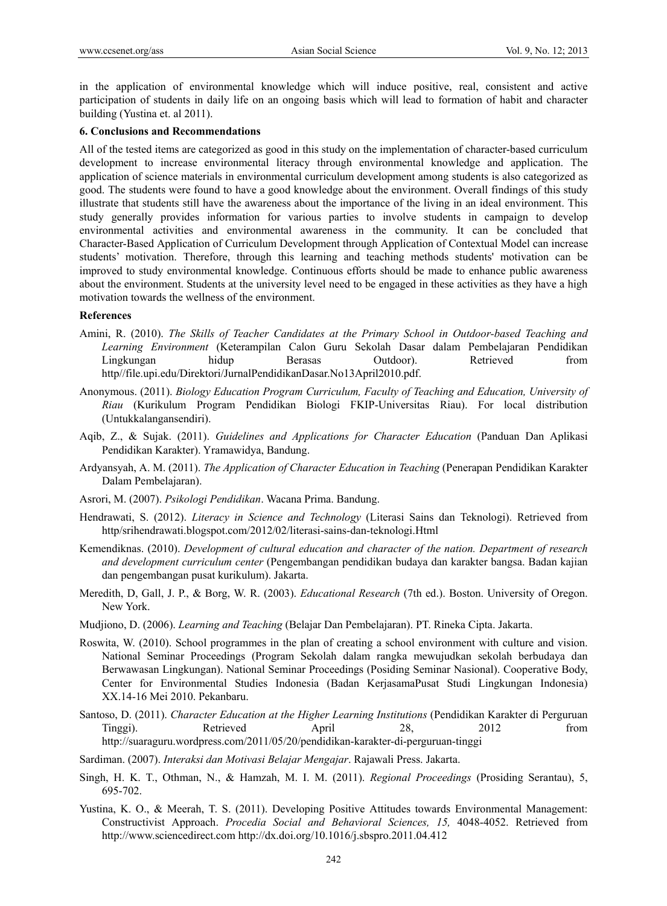in the application of environmental knowledge which will induce positive, real, consistent and active participation of students in daily life on an ongoing basis which will lead to formation of habit and character building (Yustina et. al 2011).

#### **6. Conclusions and Recommendations**

All of the tested items are categorized as good in this study on the implementation of character-based curriculum development to increase environmental literacy through environmental knowledge and application. The application of science materials in environmental curriculum development among students is also categorized as good. The students were found to have a good knowledge about the environment. Overall findings of this study illustrate that students still have the awareness about the importance of the living in an ideal environment. This study generally provides information for various parties to involve students in campaign to develop environmental activities and environmental awareness in the community. It can be concluded that Character-Based Application of Curriculum Development through Application of Contextual Model can increase students' motivation. Therefore, through this learning and teaching methods students' motivation can be improved to study environmental knowledge. Continuous efforts should be made to enhance public awareness about the environment. Students at the university level need to be engaged in these activities as they have a high motivation towards the wellness of the environment.

#### **References**

- Amini, R. (2010). *The Skills of Teacher Candidates at the Primary School in Outdoor-based Teaching and Learning Environment* (Keterampilan Calon Guru Sekolah Dasar dalam Pembelajaran Pendidikan Lingkungan hidup Berasas Outdoor). Retrieved from http//file.upi.edu/Direktori/JurnalPendidikanDasar.No13April2010.pdf.
- Anonymous. (2011). *Biology Education Program Curriculum, Faculty of Teaching and Education, University of Riau* (Kurikulum Program Pendidikan Biologi FKIP-Universitas Riau). For local distribution (Untukkalangansendiri).
- Aqib, Z., & Sujak. (2011). *Guidelines and Applications for Character Education* (Panduan Dan Aplikasi Pendidikan Karakter). Yramawidya, Bandung.
- Ardyansyah, A. M. (2011). *The Application of Character Education in Teaching* (Penerapan Pendidikan Karakter Dalam Pembelajaran).
- Asrori, M. (2007). *Psikologi Pendidikan*. Wacana Prima. Bandung.
- Hendrawati, S. (2012). *Literacy in Science and Technology* (Literasi Sains dan Teknologi). Retrieved from http/srihendrawati.blogspot.com/2012/02/literasi-sains-dan-teknologi.Html
- Kemendiknas. (2010). *Development of cultural education and character of the nation. Department of research and development curriculum center* (Pengembangan pendidikan budaya dan karakter bangsa. Badan kajian dan pengembangan pusat kurikulum). Jakarta.
- Meredith, D, Gall, J. P., & Borg, W. R. (2003). *Educational Research* (7th ed.). Boston. University of Oregon. New York.
- Mudjiono, D. (2006). *Learning and Teaching* (Belajar Dan Pembelajaran). PT. Rineka Cipta. Jakarta.
- Roswita, W. (2010). School programmes in the plan of creating a school environment with culture and vision. National Seminar Proceedings (Program Sekolah dalam rangka mewujudkan sekolah berbudaya dan Berwawasan Lingkungan). National Seminar Proceedings (Posiding Seminar Nasional). Cooperative Body, Center for Environmental Studies Indonesia (Badan KerjasamaPusat Studi Lingkungan Indonesia) XX.14-16 Mei 2010. Pekanbaru.
- Santoso, D. (2011). *Character Education at the Higher Learning Institutions* (Pendidikan Karakter di Perguruan Tinggi). Retrieved April 28, 2012 from http://suaraguru.wordpress.com/2011/05/20/pendidikan-karakter-di-perguruan-tinggi
- Sardiman. (2007). *Interaksi dan Motivasi Belajar Mengajar*. Rajawali Press. Jakarta.
- Singh, H. K. T., Othman, N., & Hamzah, M. I. M. (2011). *Regional Proceedings* (Prosiding Serantau), 5, 695-702.
- Yustina, K. O., & Meerah, T. S. (2011). Developing Positive Attitudes towards Environmental Management: Constructivist Approach. *Procedia Social and Behavioral Sciences, 15,* 4048-4052. Retrieved from http://www.sciencedirect.com http://dx.doi.org/10.1016/j.sbspro.2011.04.412